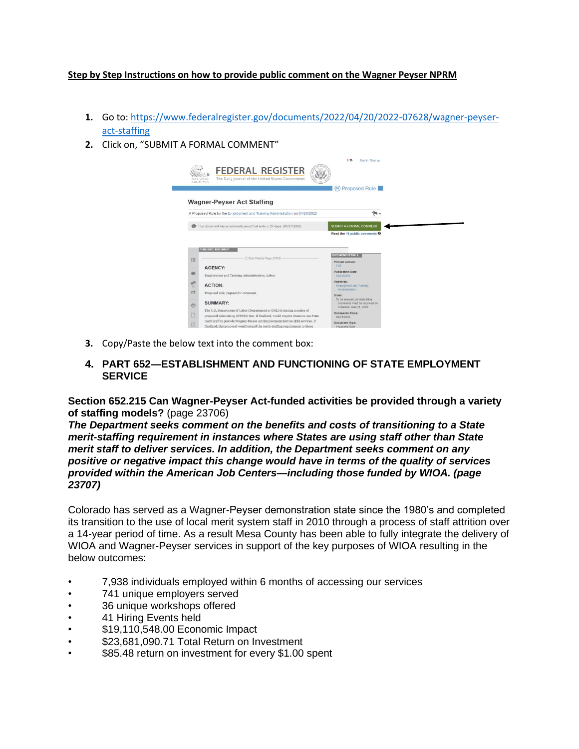## **Step by Step Instructions on how to provide public comment on the Wagner Peyser NPRM**

- **1.** Go to: [https://www.federalregister.gov/documents/2022/04/20/2022-07628/wagner-peyser](https://www.federalregister.gov/documents/2022/04/20/2022-07628/wagner-peyser-act-staffing)[act-staffing](https://www.federalregister.gov/documents/2022/04/20/2022-07628/wagner-peyser-act-staffing)
- **2.** Click on, "SUBMIT A FORMAL COMMENT"



- **3.** Copy/Paste the below text into the comment box:
- **4. PART 652—ESTABLISHMENT AND FUNCTIONING OF STATE EMPLOYMENT SERVICE**

**Section 652.215 Can Wagner-Peyser Act-funded activities be provided through a variety of staffing models?** (page 23706)

*The Department seeks comment on the benefits and costs of transitioning to a State merit-staffing requirement in instances where States are using staff other than State merit staff to deliver services. In addition, the Department seeks comment on any positive or negative impact this change would have in terms of the quality of services provided within the American Job Centers—including those funded by WIOA. (page 23707)*

Colorado has served as a Wagner-Peyser demonstration state since the 1980's and completed its transition to the use of local merit system staff in 2010 through a process of staff attrition over a 14-year period of time. As a result Mesa County has been able to fully integrate the delivery of WIOA and Wagner-Peyser services in support of the key purposes of WIOA resulting in the below outcomes:

- 7,938 individuals employed within 6 months of accessing our services
- 741 unique employers served
- 36 unique workshops offered
- 41 Hiring Events held
- \$19,110,548.00 Economic Impact
- \$23,681,090.71 Total Return on Investment
- \$85.48 return on investment for every \$1.00 spent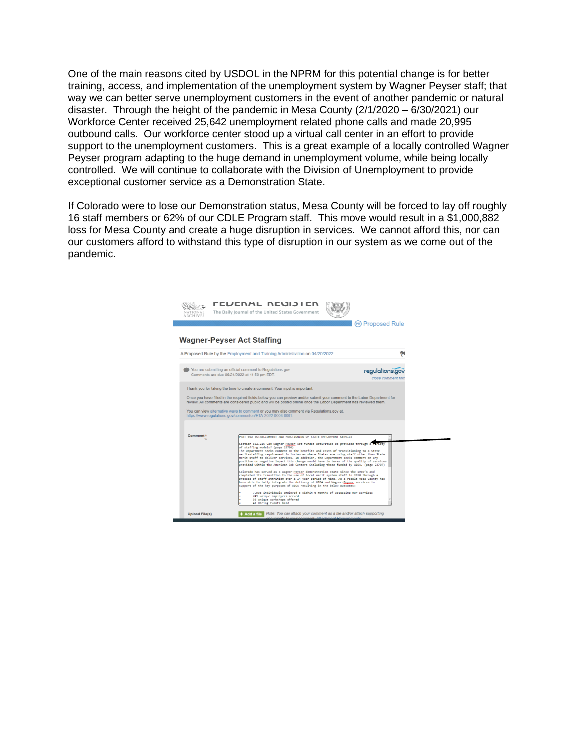One of the main reasons cited by USDOL in the NPRM for this potential change is for better training, access, and implementation of the unemployment system by Wagner Peyser staff; that way we can better serve unemployment customers in the event of another pandemic or natural disaster. Through the height of the pandemic in Mesa County (2/1/2020 – 6/30/2021) our Workforce Center received 25,642 unemployment related phone calls and made 20,995 outbound calls. Our workforce center stood up a virtual call center in an effort to provide support to the unemployment customers. This is a great example of a locally controlled Wagner Peyser program adapting to the huge demand in unemployment volume, while being locally controlled. We will continue to collaborate with the Division of Unemployment to provide exceptional customer service as a Demonstration State.

If Colorado were to lose our Demonstration status, Mesa County will be forced to lay off roughly 16 staff members or 62% of our CDLE Program staff. This move would result in a \$1,000,882 loss for Mesa County and create a huge disruption in services. We cannot afford this, nor can our customers afford to withstand this type of disruption in our system as we come out of the pandemic.

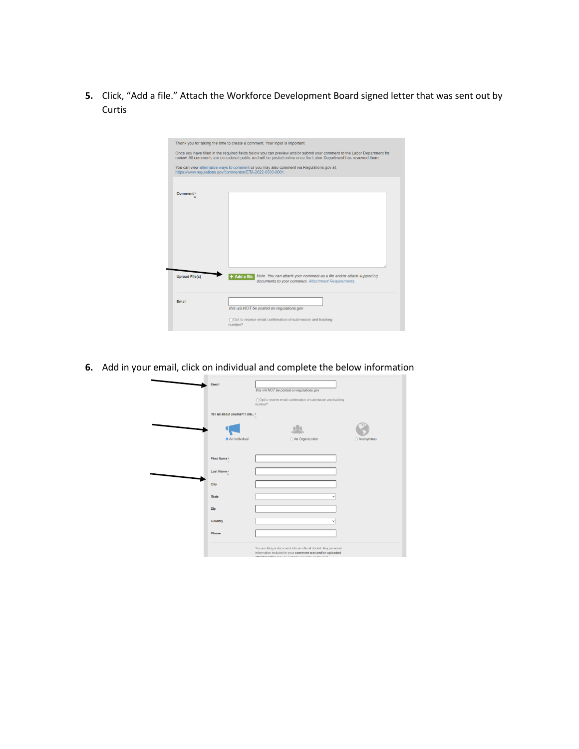**5.** Click, "Add a file." Attach the Workforce Development Board signed letter that was sent out by Curtis

| Once you have filled in the required fields below you can preview and/or submit your comment to the Labor Department for<br>review. All comments are considered public and will be posted online once the Labor Department has reviewed them. |                                                                                                                                                       |  |  |  |  |
|-----------------------------------------------------------------------------------------------------------------------------------------------------------------------------------------------------------------------------------------------|-------------------------------------------------------------------------------------------------------------------------------------------------------|--|--|--|--|
|                                                                                                                                                                                                                                               | You can view alternative ways to comment or you may also comment via Regulations.gov at,<br>https://www.regulations.gov/commenton/ETA-2022-0003-0001. |  |  |  |  |
| Comment*                                                                                                                                                                                                                                      |                                                                                                                                                       |  |  |  |  |
|                                                                                                                                                                                                                                               |                                                                                                                                                       |  |  |  |  |
|                                                                                                                                                                                                                                               |                                                                                                                                                       |  |  |  |  |
|                                                                                                                                                                                                                                               |                                                                                                                                                       |  |  |  |  |
|                                                                                                                                                                                                                                               |                                                                                                                                                       |  |  |  |  |
|                                                                                                                                                                                                                                               |                                                                                                                                                       |  |  |  |  |
|                                                                                                                                                                                                                                               | $+$ Add a file<br>Note: You can attach your comment as a file and/or attach supporting<br>documents to your comment. Attachment Requirements.         |  |  |  |  |
| <b>Upload File(s)</b><br>Email                                                                                                                                                                                                                | this will NOT be posted on regulations.gov                                                                                                            |  |  |  |  |

**6.** Add in your email, click on individual and complete the below information

| Email                         | this will NOT be posted on regulations.gov                                                                                                                                                                                                                                                                                                                    |             |
|-------------------------------|---------------------------------------------------------------------------------------------------------------------------------------------------------------------------------------------------------------------------------------------------------------------------------------------------------------------------------------------------------------|-------------|
|                               | □ Opt to receive email confirmation of submission and tracking<br>number?                                                                                                                                                                                                                                                                                     |             |
| Tell us about yourself! I am* |                                                                                                                                                                                                                                                                                                                                                               |             |
|                               |                                                                                                                                                                                                                                                                                                                                                               |             |
| An Individual                 | O An Organization                                                                                                                                                                                                                                                                                                                                             | O Anonymous |
| First Name*                   |                                                                                                                                                                                                                                                                                                                                                               |             |
| Last Name*<br>$\mathbf{H}$    |                                                                                                                                                                                                                                                                                                                                                               |             |
| City                          |                                                                                                                                                                                                                                                                                                                                                               |             |
| <b>State</b>                  | $\overline{ }$                                                                                                                                                                                                                                                                                                                                                |             |
| Zip                           |                                                                                                                                                                                                                                                                                                                                                               |             |
| Country                       |                                                                                                                                                                                                                                                                                                                                                               |             |
| Phone                         |                                                                                                                                                                                                                                                                                                                                                               |             |
|                               | You are filing a document into an official docket. Any personal<br>information included in your comment text and/or uploaded<br>the control of the control of the control of the control of the control of the control of the control of the control of the control of the control of the control of the control of the control of the control of the control |             |